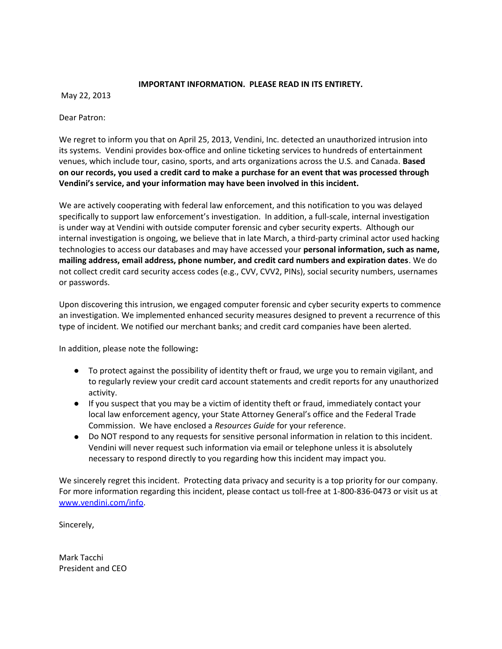## **IMPORTANT INFORMATION. PLEASE READ IN ITS ENTIRETY.**

May 22, 2013

Dear Patron:

We regret to inform you that on April 25, 2013, Vendini, Inc. detected an unauthorized intrusion into its systems. Vendini provides box-office and online ticketing services to hundreds of entertainment venues, which include tour, casino, sports, and arts organizations across the U.S. and Canada. **Based on our records, you used a credit card to make a purchase for an event that was processed through Vendini's service, and your information may have been involved in this incident.** 

We are actively cooperating with federal law enforcement, and this notification to you was delayed specifically to support law enforcement's investigation. In addition, a full-scale, internal investigation is under way at Vendini with outside computer forensic and cyber security experts. Although our internal investigation is ongoing, we believe that in late March, a third-party criminal actor used hacking technologies to access our databases and may have accessed your **personal information, such as name, mailing address, email address, phone number, and credit card numbers and expiration dates**. We do not collect credit card security access codes (e.g., CVV, CVV2, PINs), social security numbers, usernames or passwords.

Upon discovering this intrusion, we engaged computer forensic and cyber security experts to commence an investigation. We implemented enhanced security measures designed to prevent a recurrence of this type of incident. We notified our merchant banks; and credit card companies have been alerted.

In addition, please note the following**:**

- To protect against the possibility of identity theft or fraud, we urge you to remain vigilant, and to regularly review your credit card account statements and credit reports for any unauthorized activity.
- If you suspect that you may be a victim of identity theft or fraud, immediately contact your local law enforcement agency, your State Attorney General's office and the Federal Trade Commission. We have enclosed a *Resources Guide* for your reference.
- Do NOT respond to any requests for sensitive personal information in relation to this incident. Vendini will never request such information via email or telephone unless it is absolutely necessary to respond directly to you regarding how this incident may impact you.

We sincerely regret this incident. Protecting data privacy and security is a top priority for our company. For more information regarding this incident, please contact us toll-free at 1-800-836-0473 or visit us at [www.vendini.com/info.](http://www.vendini.com/info)

Sincerely,

Mark Tacchi President and CEO